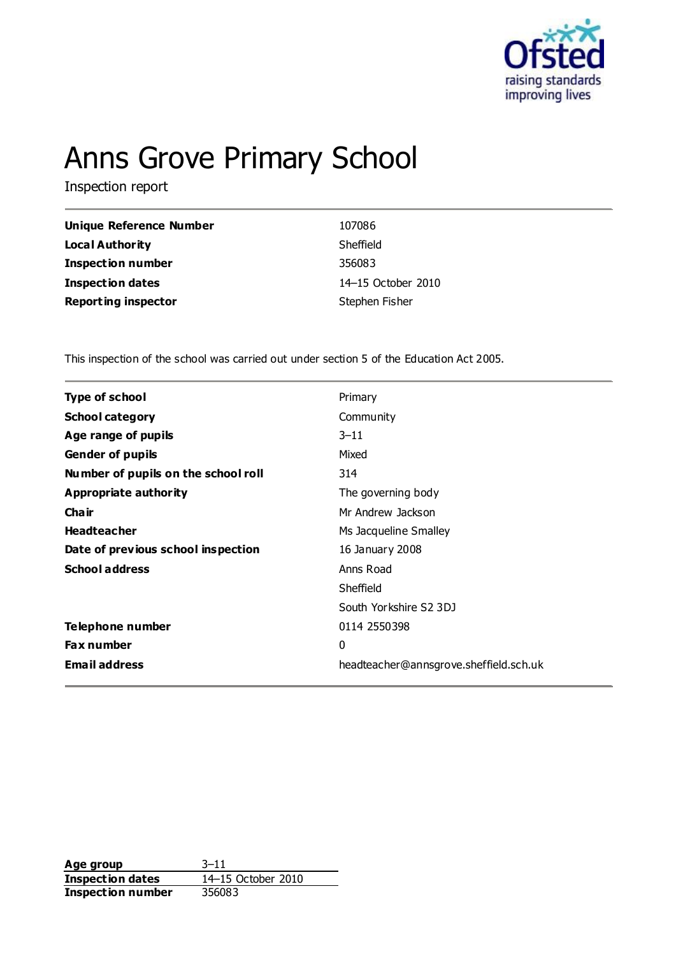

# Anns Grove Primary School

Inspection report

| Unique Reference Number    | 107086             |
|----------------------------|--------------------|
| Local Authority            | Sheffield          |
| <b>Inspection number</b>   | 356083             |
| Inspection dates           | 14-15 October 2010 |
| <b>Reporting inspector</b> | Stephen Fisher     |

This inspection of the school was carried out under section 5 of the Education Act 2005.

| <b>Type of school</b><br>Primary<br><b>School category</b><br>Community<br>Age range of pupils<br>$3 - 11$<br><b>Gender of pupils</b><br>Mixed<br>Number of pupils on the school roll<br>314<br>Appropriate authority<br>The governing body<br>Cha ir<br>Mr Andrew Jackson<br><b>Headteacher</b><br>Ms Jacqueline Smalley<br>Date of previous school inspection<br>16 January 2008<br><b>School address</b><br>Anns Road<br>Sheffield<br>South Yorkshire S2 3DJ<br>Telephone number<br>0114 2550398<br><b>Fax number</b><br>0<br><b>Email address</b><br>headteacher@annsgrove.sheffield.sch.uk |  |
|-------------------------------------------------------------------------------------------------------------------------------------------------------------------------------------------------------------------------------------------------------------------------------------------------------------------------------------------------------------------------------------------------------------------------------------------------------------------------------------------------------------------------------------------------------------------------------------------------|--|
|                                                                                                                                                                                                                                                                                                                                                                                                                                                                                                                                                                                                 |  |
|                                                                                                                                                                                                                                                                                                                                                                                                                                                                                                                                                                                                 |  |
|                                                                                                                                                                                                                                                                                                                                                                                                                                                                                                                                                                                                 |  |
|                                                                                                                                                                                                                                                                                                                                                                                                                                                                                                                                                                                                 |  |
|                                                                                                                                                                                                                                                                                                                                                                                                                                                                                                                                                                                                 |  |
|                                                                                                                                                                                                                                                                                                                                                                                                                                                                                                                                                                                                 |  |
|                                                                                                                                                                                                                                                                                                                                                                                                                                                                                                                                                                                                 |  |
|                                                                                                                                                                                                                                                                                                                                                                                                                                                                                                                                                                                                 |  |
|                                                                                                                                                                                                                                                                                                                                                                                                                                                                                                                                                                                                 |  |
|                                                                                                                                                                                                                                                                                                                                                                                                                                                                                                                                                                                                 |  |
|                                                                                                                                                                                                                                                                                                                                                                                                                                                                                                                                                                                                 |  |
|                                                                                                                                                                                                                                                                                                                                                                                                                                                                                                                                                                                                 |  |
|                                                                                                                                                                                                                                                                                                                                                                                                                                                                                                                                                                                                 |  |
|                                                                                                                                                                                                                                                                                                                                                                                                                                                                                                                                                                                                 |  |
|                                                                                                                                                                                                                                                                                                                                                                                                                                                                                                                                                                                                 |  |

**Age group** 3-11<br> **Inspection dates** 14-15 October 2010 **Inspection dates Inspection number** 356083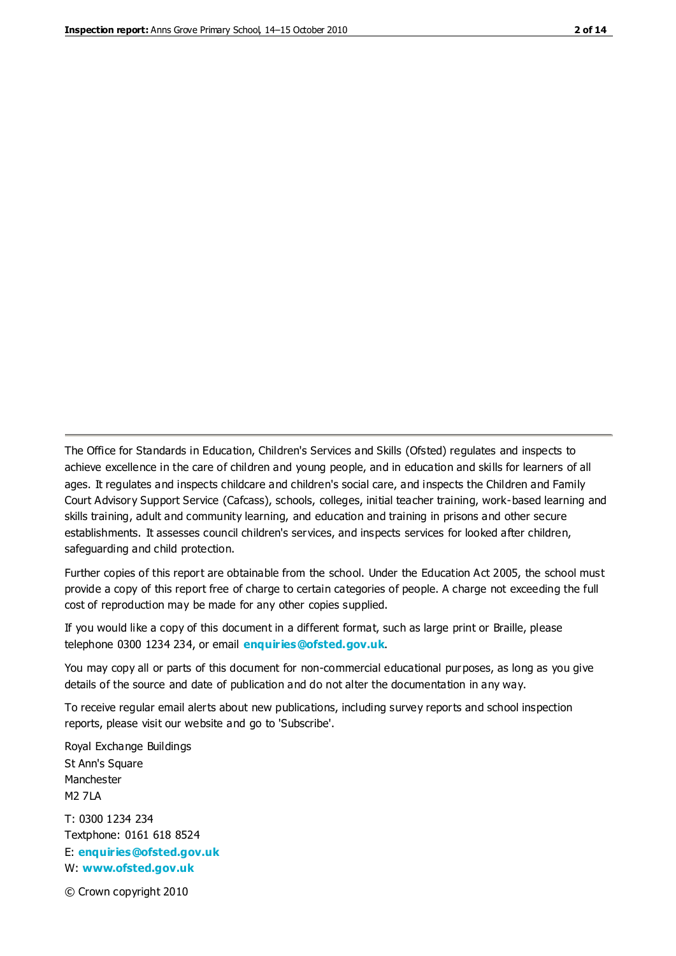The Office for Standards in Education, Children's Services and Skills (Ofsted) regulates and inspects to achieve excellence in the care of children and young people, and in education and skills for learners of all ages. It regulates and inspects childcare and children's social care, and inspects the Children and Family Court Advisory Support Service (Cafcass), schools, colleges, initial teacher training, work-based learning and skills training, adult and community learning, and education and training in prisons and other secure establishments. It assesses council children's services, and inspects services for looked after children, safeguarding and child protection.

Further copies of this report are obtainable from the school. Under the Education Act 2005, the school must provide a copy of this report free of charge to certain categories of people. A charge not exceeding the full cost of reproduction may be made for any other copies supplied.

If you would like a copy of this document in a different format, such as large print or Braille, please telephone 0300 1234 234, or email **[enquiries@ofsted.gov.uk](mailto:enquiries@ofsted.gov.uk)**.

You may copy all or parts of this document for non-commercial educational purposes, as long as you give details of the source and date of publication and do not alter the documentation in any way.

To receive regular email alerts about new publications, including survey reports and school inspection reports, please visit our website and go to 'Subscribe'.

Royal Exchange Buildings St Ann's Square Manchester M2 7LA T: 0300 1234 234 Textphone: 0161 618 8524 E: **[enquiries@ofsted.gov.uk](mailto:enquiries@ofsted.gov.uk)** W: **[www.ofsted.gov.uk](http://www.ofsted.gov.uk/)**

© Crown copyright 2010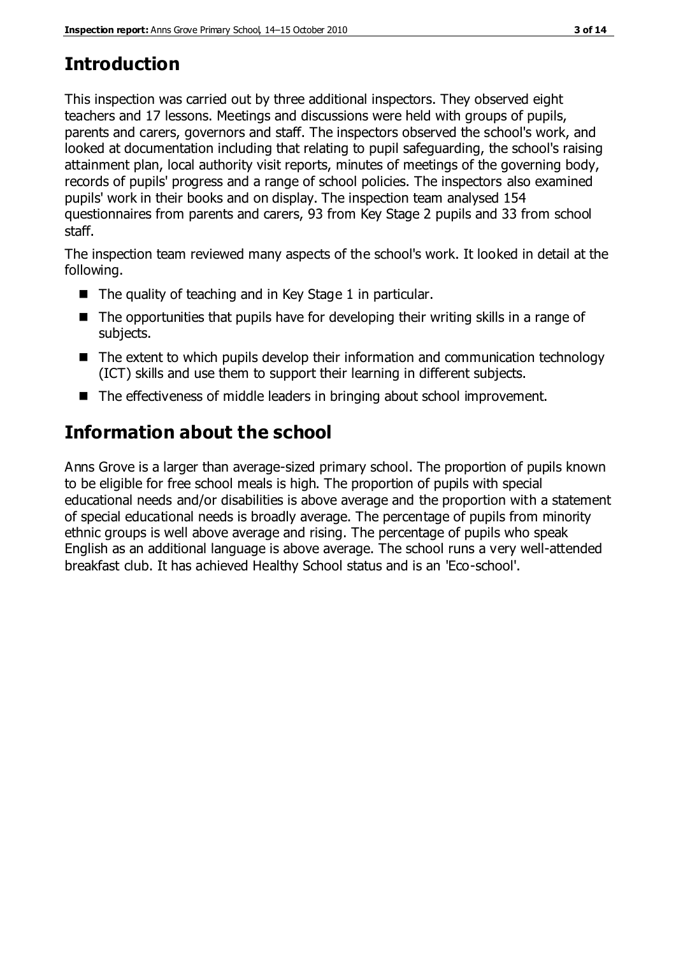# **Introduction**

This inspection was carried out by three additional inspectors. They observed eight teachers and 17 lessons. Meetings and discussions were held with groups of pupils, parents and carers, governors and staff. The inspectors observed the school's work, and looked at documentation including that relating to pupil safeguarding, the school's raising attainment plan, local authority visit reports, minutes of meetings of the governing body, records of pupils' progress and a range of school policies. The inspectors also examined pupils' work in their books and on display. The inspection team analysed 154 questionnaires from parents and carers, 93 from Key Stage 2 pupils and 33 from school staff.

The inspection team reviewed many aspects of the school's work. It looked in detail at the following.

- $\blacksquare$  The quality of teaching and in Key Stage 1 in particular.
- $\blacksquare$  The opportunities that pupils have for developing their writing skills in a range of subjects.
- The extent to which pupils develop their information and communication technology (ICT) skills and use them to support their learning in different subjects.
- The effectiveness of middle leaders in bringing about school improvement.

# **Information about the school**

Anns Grove is a larger than average-sized primary school. The proportion of pupils known to be eligible for free school meals is high. The proportion of pupils with special educational needs and/or disabilities is above average and the proportion with a statement of special educational needs is broadly average. The percentage of pupils from minority ethnic groups is well above average and rising. The percentage of pupils who speak English as an additional language is above average. The school runs a very well-attended breakfast club. It has achieved Healthy School status and is an 'Eco-school'.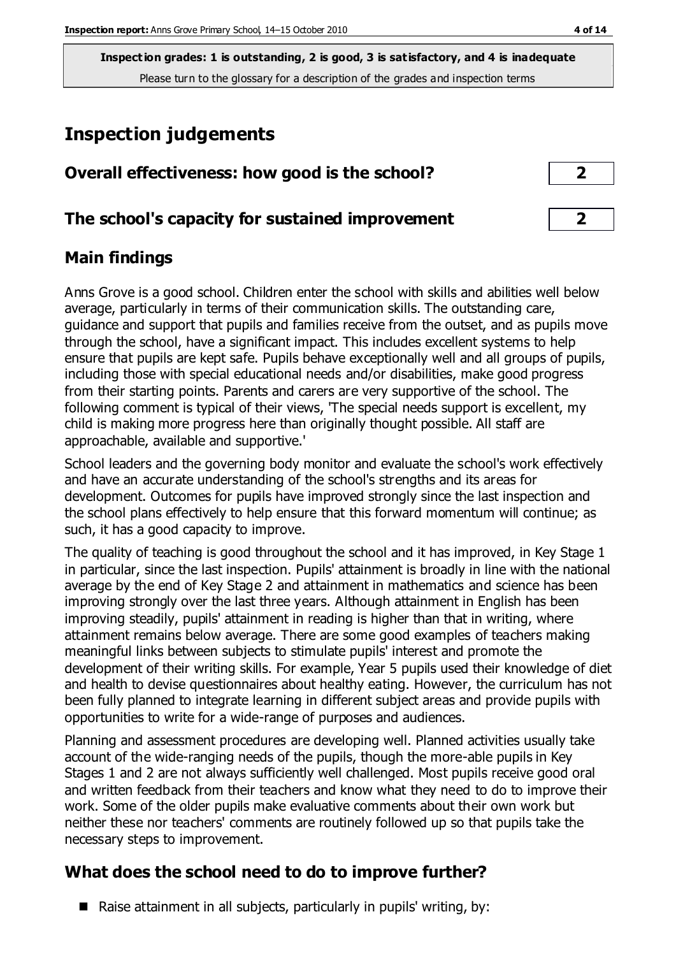# **Inspection judgements**

| Overall effectiveness: how good is the school?  |  |
|-------------------------------------------------|--|
| The school's capacity for sustained improvement |  |

### **Main findings**

Anns Grove is a good school. Children enter the school with skills and abilities well below average, particularly in terms of their communication skills. The outstanding care, guidance and support that pupils and families receive from the outset, and as pupils move through the school, have a significant impact. This includes excellent systems to help ensure that pupils are kept safe. Pupils behave exceptionally well and all groups of pupils, including those with special educational needs and/or disabilities, make good progress from their starting points. Parents and carers are very supportive of the school. The following comment is typical of their views, 'The special needs support is excellent, my child is making more progress here than originally thought possible. All staff are approachable, available and supportive.'

School leaders and the governing body monitor and evaluate the school's work effectively and have an accurate understanding of the school's strengths and its areas for development. Outcomes for pupils have improved strongly since the last inspection and the school plans effectively to help ensure that this forward momentum will continue; as such, it has a good capacity to improve.

The quality of teaching is good throughout the school and it has improved, in Key Stage 1 in particular, since the last inspection. Pupils' attainment is broadly in line with the national average by the end of Key Stage 2 and attainment in mathematics and science has been improving strongly over the last three years. Although attainment in English has been improving steadily, pupils' attainment in reading is higher than that in writing, where attainment remains below average. There are some good examples of teachers making meaningful links between subjects to stimulate pupils' interest and promote the development of their writing skills. For example, Year 5 pupils used their knowledge of diet and health to devise questionnaires about healthy eating. However, the curriculum has not been fully planned to integrate learning in different subject areas and provide pupils with opportunities to write for a wide-range of purposes and audiences.

Planning and assessment procedures are developing well. Planned activities usually take account of the wide-ranging needs of the pupils, though the more-able pupils in Key Stages 1 and 2 are not always sufficiently well challenged. Most pupils receive good oral and written feedback from their teachers and know what they need to do to improve their work. Some of the older pupils make evaluative comments about their own work but neither these nor teachers' comments are routinely followed up so that pupils take the necessary steps to improvement.

## **What does the school need to do to improve further?**

Raise attainment in all subjects, particularly in pupils' writing, by: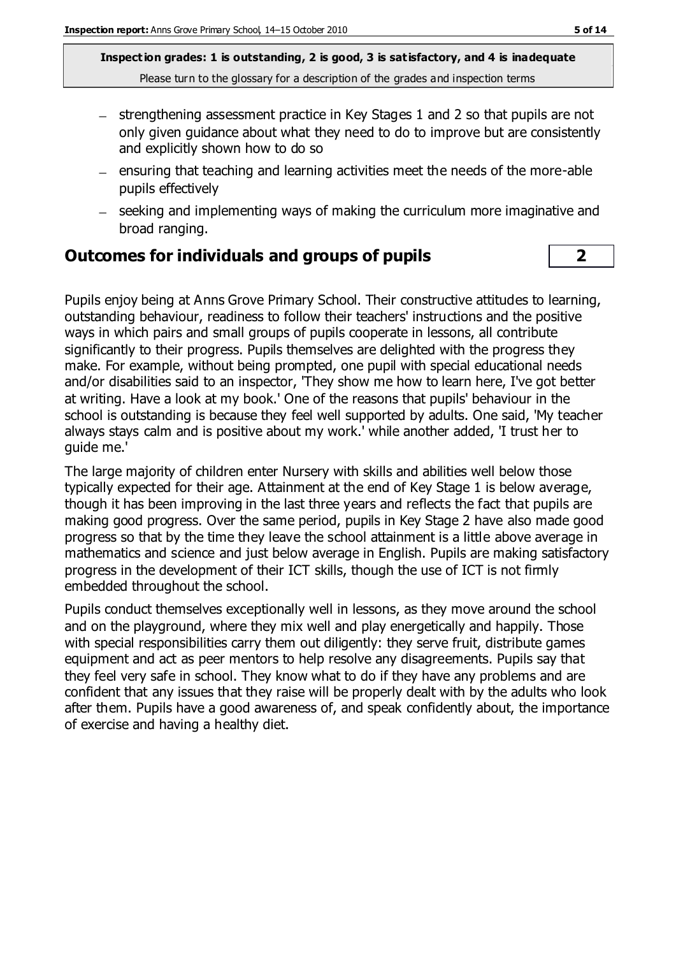- $-$  strengthening assessment practice in Key Stages 1 and 2 so that pupils are not only given guidance about what they need to do to improve but are consistently and explicitly shown how to do so
- $=$  ensuring that teaching and learning activities meet the needs of the more-able pupils effectively
- seeking and implementing ways of making the curriculum more imaginative and broad ranging.

#### **Outcomes for individuals and groups of pupils 2**

Pupils enjoy being at Anns Grove Primary School. Their constructive attitudes to learning, outstanding behaviour, readiness to follow their teachers' instructions and the positive ways in which pairs and small groups of pupils cooperate in lessons, all contribute significantly to their progress. Pupils themselves are delighted with the progress they make. For example, without being prompted, one pupil with special educational needs and/or disabilities said to an inspector, 'They show me how to learn here, I've got better at writing. Have a look at my book.' One of the reasons that pupils' behaviour in the school is outstanding is because they feel well supported by adults. One said, 'My teacher always stays calm and is positive about my work.' while another added, 'I trust her to guide me.'

The large majority of children enter Nursery with skills and abilities well below those typically expected for their age. Attainment at the end of Key Stage 1 is below average, though it has been improving in the last three years and reflects the fact that pupils are making good progress. Over the same period, pupils in Key Stage 2 have also made good progress so that by the time they leave the school attainment is a little above average in mathematics and science and just below average in English. Pupils are making satisfactory progress in the development of their ICT skills, though the use of ICT is not firmly embedded throughout the school.

Pupils conduct themselves exceptionally well in lessons, as they move around the school and on the playground, where they mix well and play energetically and happily. Those with special responsibilities carry them out diligently: they serve fruit, distribute games equipment and act as peer mentors to help resolve any disagreements. Pupils say that they feel very safe in school. They know what to do if they have any problems and are confident that any issues that they raise will be properly dealt with by the adults who look after them. Pupils have a good awareness of, and speak confidently about, the importance of exercise and having a healthy diet.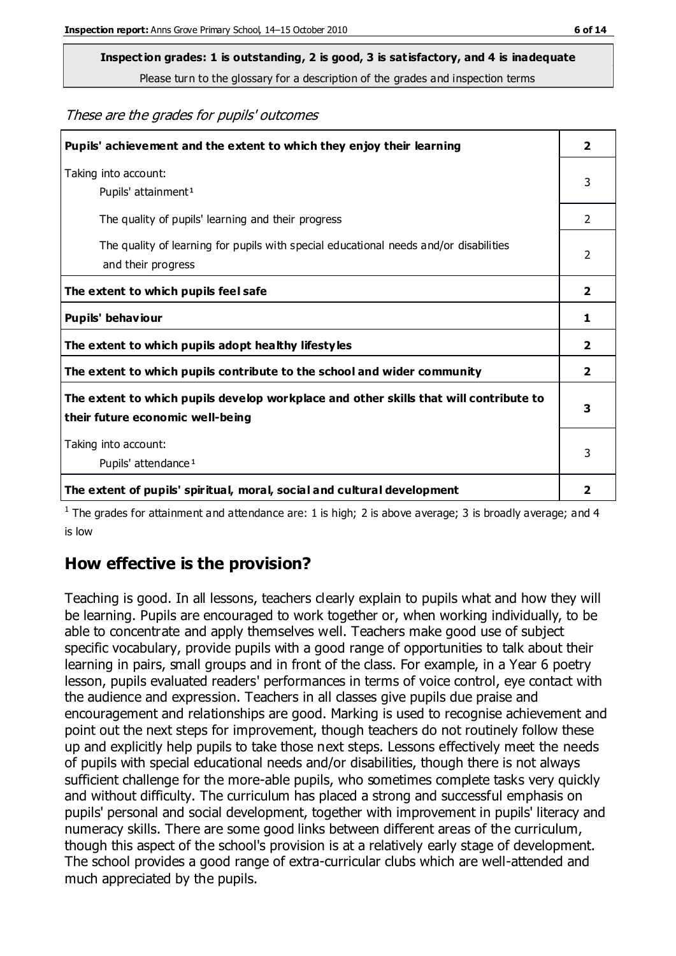# **Inspect ion grades: 1 is outstanding, 2 is good, 3 is satisfactory, and 4 is inadequate**

Please turn to the glossary for a description of the grades and inspection terms

These are the grades for pupils' outcomes

| Pupils' achievement and the extent to which they enjoy their learning                                                     | $\overline{\mathbf{2}}$ |
|---------------------------------------------------------------------------------------------------------------------------|-------------------------|
| Taking into account:<br>Pupils' attainment <sup>1</sup>                                                                   | 3                       |
| The quality of pupils' learning and their progress                                                                        | $\mathfrak{D}$          |
| The quality of learning for pupils with special educational needs and/or disabilities<br>and their progress               | $\overline{2}$          |
| The extent to which pupils feel safe                                                                                      | 2                       |
| Pupils' behaviour                                                                                                         | 1                       |
| The extent to which pupils adopt healthy lifestyles                                                                       | $\overline{\mathbf{2}}$ |
| The extent to which pupils contribute to the school and wider community                                                   | 2                       |
| The extent to which pupils develop workplace and other skills that will contribute to<br>their future economic well-being | 3                       |
| Taking into account:<br>Pupils' attendance <sup>1</sup>                                                                   | 3                       |
| The extent of pupils' spiritual, moral, social and cultural development                                                   | 2                       |

<sup>1</sup> The grades for attainment and attendance are: 1 is high; 2 is above average; 3 is broadly average; and 4 is low

## **How effective is the provision?**

Teaching is good. In all lessons, teachers clearly explain to pupils what and how they will be learning. Pupils are encouraged to work together or, when working individually, to be able to concentrate and apply themselves well. Teachers make good use of subject specific vocabulary, provide pupils with a good range of opportunities to talk about their learning in pairs, small groups and in front of the class. For example, in a Year 6 poetry lesson, pupils evaluated readers' performances in terms of voice control, eye contact with the audience and expression. Teachers in all classes give pupils due praise and encouragement and relationships are good. Marking is used to recognise achievement and point out the next steps for improvement, though teachers do not routinely follow these up and explicitly help pupils to take those next steps. Lessons effectively meet the needs of pupils with special educational needs and/or disabilities, though there is not always sufficient challenge for the more-able pupils, who sometimes complete tasks very quickly and without difficulty. The curriculum has placed a strong and successful emphasis on pupils' personal and social development, together with improvement in pupils' literacy and numeracy skills. There are some good links between different areas of the curriculum, though this aspect of the school's provision is at a relatively early stage of development. The school provides a good range of extra-curricular clubs which are well-attended and much appreciated by the pupils.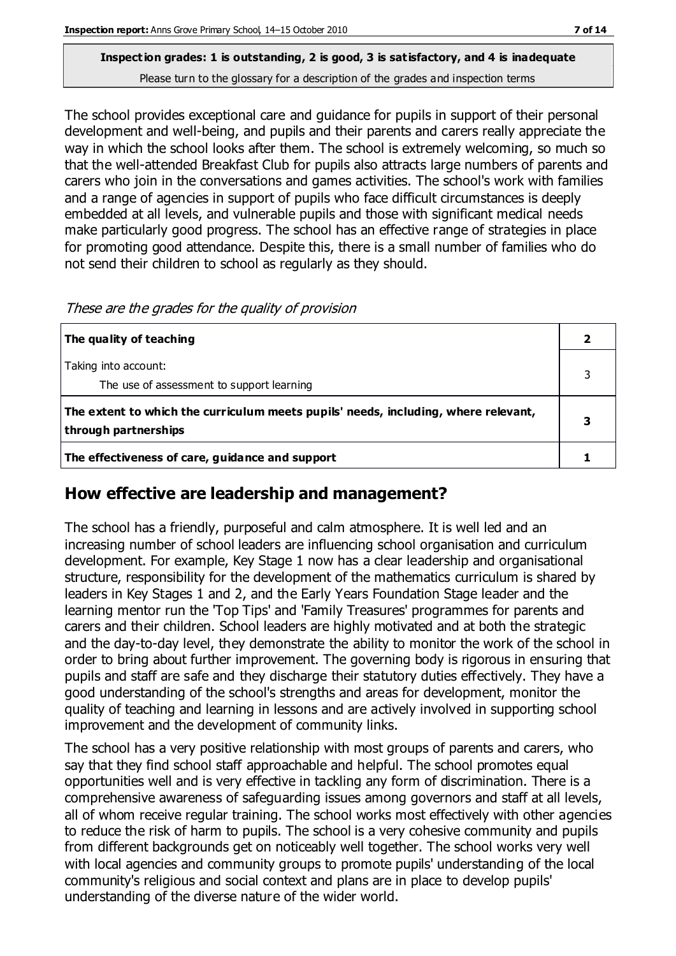The school provides exceptional care and guidance for pupils in support of their personal development and well-being, and pupils and their parents and carers really appreciate the way in which the school looks after them. The school is extremely welcoming, so much so that the well-attended Breakfast Club for pupils also attracts large numbers of parents and carers who join in the conversations and games activities. The school's work with families and a range of agencies in support of pupils who face difficult circumstances is deeply embedded at all levels, and vulnerable pupils and those with significant medical needs make particularly good progress. The school has an effective range of strategies in place for promoting good attendance. Despite this, there is a small number of families who do not send their children to school as regularly as they should.

| The quality of teaching                                                                                    |  |
|------------------------------------------------------------------------------------------------------------|--|
| Taking into account:<br>The use of assessment to support learning                                          |  |
| The extent to which the curriculum meets pupils' needs, including, where relevant,<br>through partnerships |  |
| The effectiveness of care, guidance and support                                                            |  |

These are the grades for the quality of provision

#### **How effective are leadership and management?**

The school has a friendly, purposeful and calm atmosphere. It is well led and an increasing number of school leaders are influencing school organisation and curriculum development. For example, Key Stage 1 now has a clear leadership and organisational structure, responsibility for the development of the mathematics curriculum is shared by leaders in Key Stages 1 and 2, and the Early Years Foundation Stage leader and the learning mentor run the 'Top Tips' and 'Family Treasures' programmes for parents and carers and their children. School leaders are highly motivated and at both the strategic and the day-to-day level, they demonstrate the ability to monitor the work of the school in order to bring about further improvement. The governing body is rigorous in ensuring that pupils and staff are safe and they discharge their statutory duties effectively. They have a good understanding of the school's strengths and areas for development, monitor the quality of teaching and learning in lessons and are actively involved in supporting school improvement and the development of community links.

The school has a very positive relationship with most groups of parents and carers, who say that they find school staff approachable and helpful. The school promotes equal opportunities well and is very effective in tackling any form of discrimination. There is a comprehensive awareness of safeguarding issues among governors and staff at all levels, all of whom receive regular training. The school works most effectively with other agencies to reduce the risk of harm to pupils. The school is a very cohesive community and pupils from different backgrounds get on noticeably well together. The school works very well with local agencies and community groups to promote pupils' understanding of the local community's religious and social context and plans are in place to develop pupils' understanding of the diverse nature of the wider world.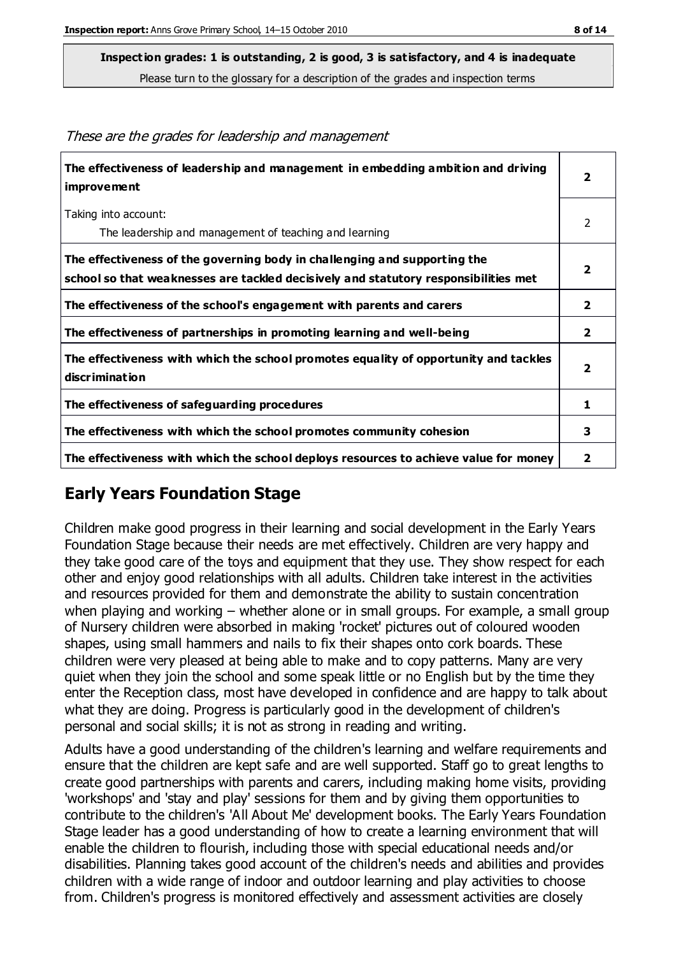**Inspect ion grades: 1 is outstanding, 2 is good, 3 is satisfactory, and 4 is inadequate**

Please turn to the glossary for a description of the grades and inspection terms

| The effectiveness of leadership and management in embedding ambition and driving<br><i>improvement</i>                                                           | $\overline{2}$          |
|------------------------------------------------------------------------------------------------------------------------------------------------------------------|-------------------------|
| Taking into account:<br>The leadership and management of teaching and learning                                                                                   | 2                       |
| The effectiveness of the governing body in challenging and supporting the<br>school so that weaknesses are tackled decisively and statutory responsibilities met | $\overline{2}$          |
| The effectiveness of the school's engagement with parents and carers                                                                                             | $\overline{\mathbf{2}}$ |
| The effectiveness of partnerships in promoting learning and well-being                                                                                           | $\mathbf{2}$            |
| The effectiveness with which the school promotes equality of opportunity and tackles<br>discrimination                                                           | $\overline{\mathbf{2}}$ |
| The effectiveness of safeguarding procedures                                                                                                                     | 1                       |
| The effectiveness with which the school promotes community cohesion                                                                                              | 3                       |
| The effectiveness with which the school deploys resources to achieve value for money                                                                             | $\overline{\mathbf{2}}$ |

#### These are the grades for leadership and management

## **Early Years Foundation Stage**

Children make good progress in their learning and social development in the Early Years Foundation Stage because their needs are met effectively. Children are very happy and they take good care of the toys and equipment that they use. They show respect for each other and enjoy good relationships with all adults. Children take interest in the activities and resources provided for them and demonstrate the ability to sustain concentration when playing and working – whether alone or in small groups. For example, a small group of Nursery children were absorbed in making 'rocket' pictures out of coloured wooden shapes, using small hammers and nails to fix their shapes onto cork boards. These children were very pleased at being able to make and to copy patterns. Many are very quiet when they join the school and some speak little or no English but by the time they enter the Reception class, most have developed in confidence and are happy to talk about what they are doing. Progress is particularly good in the development of children's personal and social skills; it is not as strong in reading and writing.

Adults have a good understanding of the children's learning and welfare requirements and ensure that the children are kept safe and are well supported. Staff go to great lengths to create good partnerships with parents and carers, including making home visits, providing 'workshops' and 'stay and play' sessions for them and by giving them opportunities to contribute to the children's 'All About Me' development books. The Early Years Foundation Stage leader has a good understanding of how to create a learning environment that will enable the children to flourish, including those with special educational needs and/or disabilities. Planning takes good account of the children's needs and abilities and provides children with a wide range of indoor and outdoor learning and play activities to choose from. Children's progress is monitored effectively and assessment activities are closely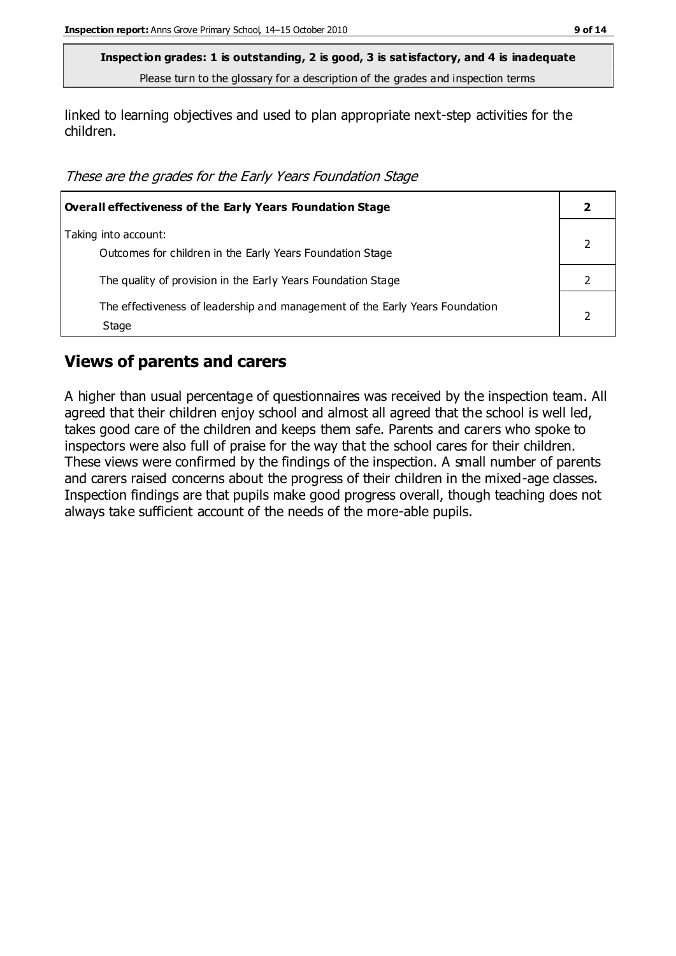linked to learning objectives and used to plan appropriate next-step activities for the children.

These are the grades for the Early Years Foundation Stage

| <b>Overall effectiveness of the Early Years Foundation Stage</b>                      |  |
|---------------------------------------------------------------------------------------|--|
| Taking into account:<br>Outcomes for children in the Early Years Foundation Stage     |  |
| The quality of provision in the Early Years Foundation Stage                          |  |
| The effectiveness of leadership and management of the Early Years Foundation<br>Stage |  |

#### **Views of parents and carers**

A higher than usual percentage of questionnaires was received by the inspection team. All agreed that their children enjoy school and almost all agreed that the school is well led, takes good care of the children and keeps them safe. Parents and carers who spoke to inspectors were also full of praise for the way that the school cares for their children. These views were confirmed by the findings of the inspection. A small number of parents and carers raised concerns about the progress of their children in the mixed-age classes. Inspection findings are that pupils make good progress overall, though teaching does not always take sufficient account of the needs of the more-able pupils.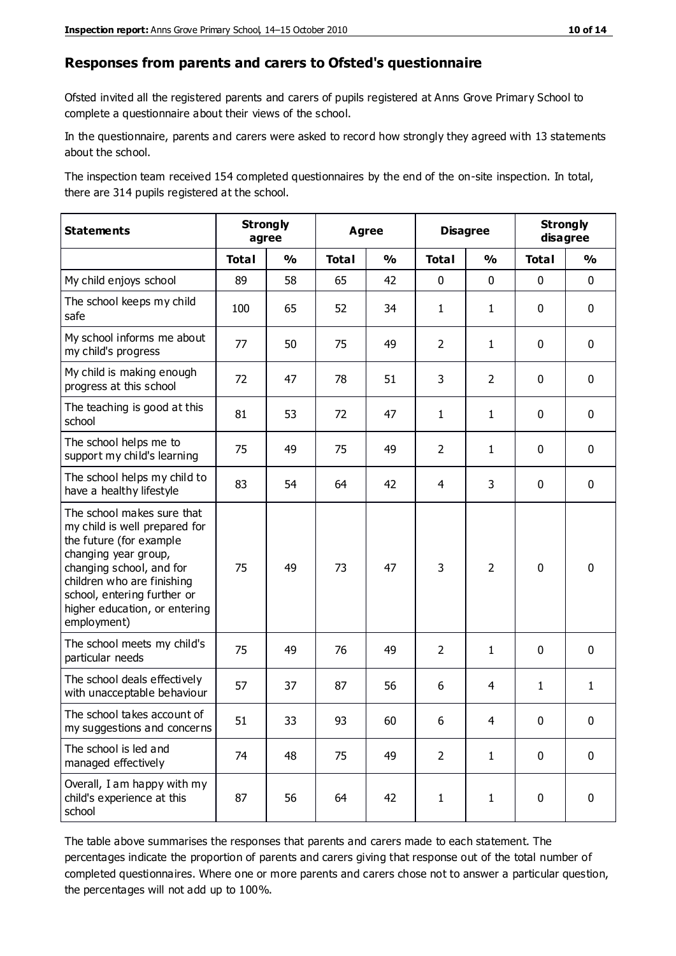#### **Responses from parents and carers to Ofsted's questionnaire**

Ofsted invited all the registered parents and carers of pupils registered at Anns Grove Primary School to complete a questionnaire about their views of the school.

In the questionnaire, parents and carers were asked to record how strongly they agreed with 13 statements about the school.

The inspection team received 154 completed questionnaires by the end of the on-site inspection. In total, there are 314 pupils registered at the school.

| <b>Statements</b>                                                                                                                                                                                                                                       | <b>Strongly</b><br>agree |               | <b>Agree</b> |               | <b>Disagree</b> |                | <b>Strongly</b><br>disagree |               |
|---------------------------------------------------------------------------------------------------------------------------------------------------------------------------------------------------------------------------------------------------------|--------------------------|---------------|--------------|---------------|-----------------|----------------|-----------------------------|---------------|
|                                                                                                                                                                                                                                                         | <b>Total</b>             | $\frac{1}{2}$ | <b>Total</b> | $\frac{1}{2}$ | <b>Total</b>    | $\frac{1}{2}$  | <b>Total</b>                | $\frac{1}{2}$ |
| My child enjoys school                                                                                                                                                                                                                                  | 89                       | 58            | 65           | 42            | 0               | $\mathbf 0$    | $\mathbf 0$                 | $\mathbf 0$   |
| The school keeps my child<br>safe                                                                                                                                                                                                                       | 100                      | 65            | 52           | 34            | $\mathbf{1}$    | $\mathbf{1}$   | $\mathbf 0$                 | $\mathbf 0$   |
| My school informs me about<br>my child's progress                                                                                                                                                                                                       | 77                       | 50            | 75           | 49            | $\overline{2}$  | $\mathbf{1}$   | $\mathbf 0$                 | $\mathbf 0$   |
| My child is making enough<br>progress at this school                                                                                                                                                                                                    | 72                       | 47            | 78           | 51            | 3               | $\overline{2}$ | $\mathbf 0$                 | $\mathbf 0$   |
| The teaching is good at this<br>school                                                                                                                                                                                                                  | 81                       | 53            | 72           | 47            | $\mathbf{1}$    | $\mathbf{1}$   | $\mathbf 0$                 | $\mathbf 0$   |
| The school helps me to<br>support my child's learning                                                                                                                                                                                                   | 75                       | 49            | 75           | 49            | $\overline{2}$  | 1              | $\mathbf 0$                 | $\mathbf 0$   |
| The school helps my child to<br>have a healthy lifestyle                                                                                                                                                                                                | 83                       | 54            | 64           | 42            | 4               | 3              | $\mathbf 0$                 | $\mathbf 0$   |
| The school makes sure that<br>my child is well prepared for<br>the future (for example<br>changing year group,<br>changing school, and for<br>children who are finishing<br>school, entering further or<br>higher education, or entering<br>employment) | 75                       | 49            | 73           | 47            | 3               | $\overline{2}$ | $\mathbf 0$                 | $\mathbf 0$   |
| The school meets my child's<br>particular needs                                                                                                                                                                                                         | 75                       | 49            | 76           | 49            | $\overline{2}$  | 1              | $\mathbf 0$                 | $\mathbf 0$   |
| The school deals effectively<br>with unacceptable behaviour                                                                                                                                                                                             | 57                       | 37            | 87           | 56            | 6               | 4              | $\mathbf{1}$                | $\mathbf{1}$  |
| The school takes account of<br>my suggestions and concerns                                                                                                                                                                                              | 51                       | 33            | 93           | 60            | 6               | 4              | $\Omega$                    | 0             |
| The school is led and<br>managed effectively                                                                                                                                                                                                            | 74                       | 48            | 75           | 49            | $\overline{2}$  | $\mathbf{1}$   | $\mathbf 0$                 | $\mathbf 0$   |
| Overall, I am happy with my<br>child's experience at this<br>school                                                                                                                                                                                     | 87                       | 56            | 64           | 42            | $\mathbf{1}$    | $\mathbf{1}$   | $\mathbf 0$                 | $\mathbf 0$   |

The table above summarises the responses that parents and carers made to each statement. The percentages indicate the proportion of parents and carers giving that response out of the total number of completed questionnaires. Where one or more parents and carers chose not to answer a particular question, the percentages will not add up to 100%.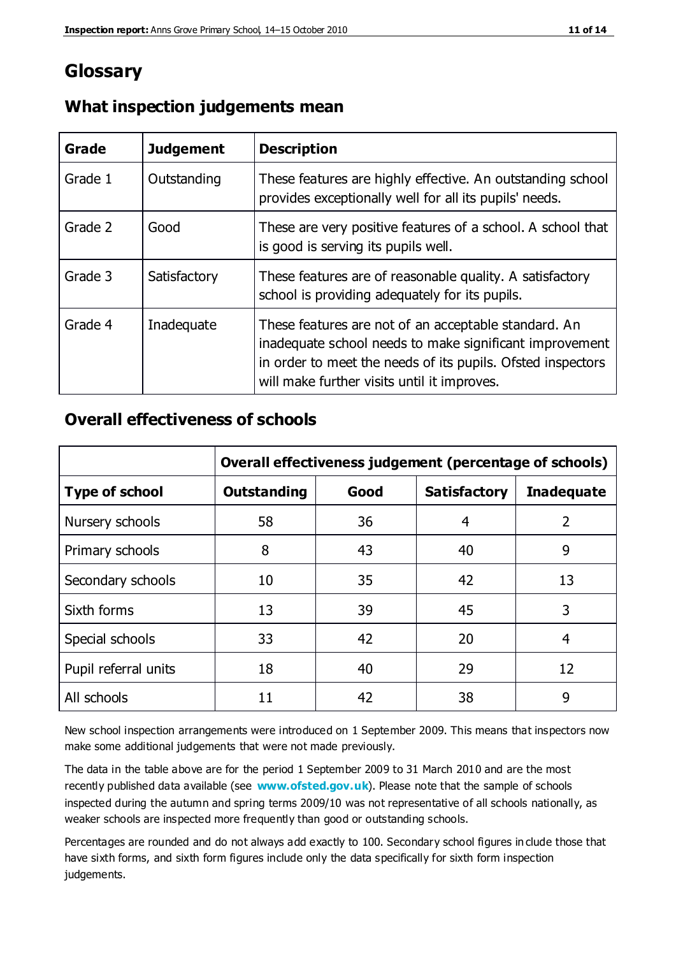# **Glossary**

| Grade   | <b>Judgement</b> | <b>Description</b>                                                                                                                                                                                                            |
|---------|------------------|-------------------------------------------------------------------------------------------------------------------------------------------------------------------------------------------------------------------------------|
| Grade 1 | Outstanding      | These features are highly effective. An outstanding school<br>provides exceptionally well for all its pupils' needs.                                                                                                          |
| Grade 2 | Good             | These are very positive features of a school. A school that<br>is good is serving its pupils well.                                                                                                                            |
| Grade 3 | Satisfactory     | These features are of reasonable quality. A satisfactory<br>school is providing adequately for its pupils.                                                                                                                    |
| Grade 4 | Inadequate       | These features are not of an acceptable standard. An<br>inadequate school needs to make significant improvement<br>in order to meet the needs of its pupils. Ofsted inspectors<br>will make further visits until it improves. |

### **What inspection judgements mean**

### **Overall effectiveness of schools**

|                       | Overall effectiveness judgement (percentage of schools) |      |                     |                   |
|-----------------------|---------------------------------------------------------|------|---------------------|-------------------|
| <b>Type of school</b> | <b>Outstanding</b>                                      | Good | <b>Satisfactory</b> | <b>Inadequate</b> |
| Nursery schools       | 58                                                      | 36   | 4                   | $\overline{2}$    |
| Primary schools       | 8                                                       | 43   | 40                  | 9                 |
| Secondary schools     | 10                                                      | 35   | 42                  | 13                |
| Sixth forms           | 13                                                      | 39   | 45                  | 3                 |
| Special schools       | 33                                                      | 42   | 20                  | 4                 |
| Pupil referral units  | 18                                                      | 40   | 29                  | 12                |
| All schools           | 11                                                      | 42   | 38                  | 9                 |

New school inspection arrangements were introduced on 1 September 2009. This means that inspectors now make some additional judgements that were not made previously.

The data in the table above are for the period 1 September 2009 to 31 March 2010 and are the most recently published data available (see **[www.ofsted.gov.uk](http://www.ofsted.gov.uk/)**). Please note that the sample of schools inspected during the autumn and spring terms 2009/10 was not representative of all schools nationally, as weaker schools are inspected more frequently than good or outstanding schools.

Percentages are rounded and do not always add exactly to 100. Secondary school figures in clude those that have sixth forms, and sixth form figures include only the data specifically for sixth form inspection judgements.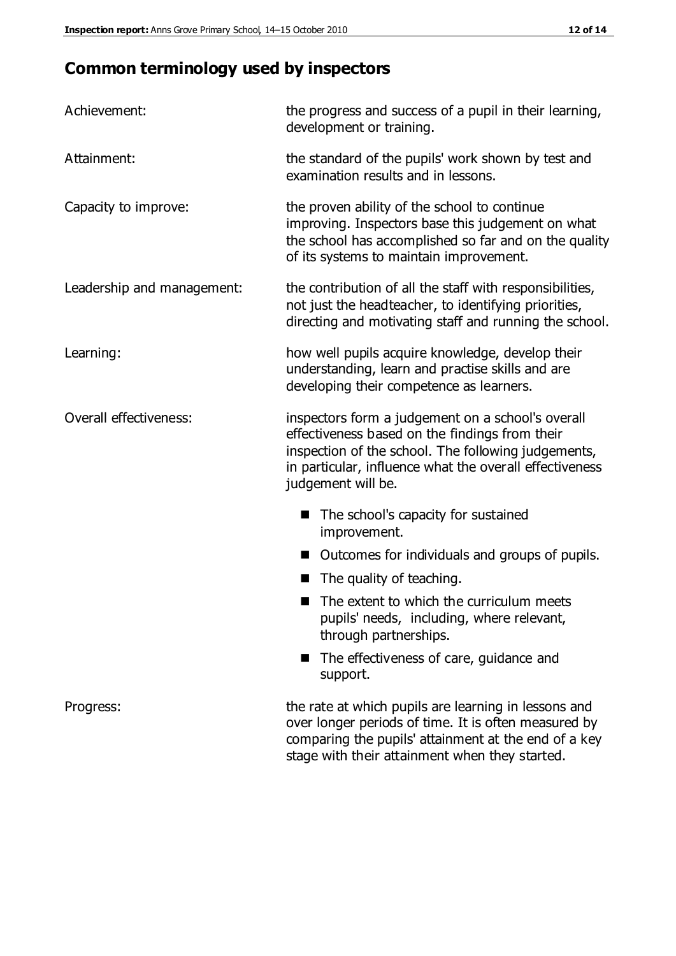# **Common terminology used by inspectors**

| Achievement:               | the progress and success of a pupil in their learning,<br>development or training.                                                                                                                                                          |  |
|----------------------------|---------------------------------------------------------------------------------------------------------------------------------------------------------------------------------------------------------------------------------------------|--|
| Attainment:                | the standard of the pupils' work shown by test and<br>examination results and in lessons.                                                                                                                                                   |  |
| Capacity to improve:       | the proven ability of the school to continue<br>improving. Inspectors base this judgement on what<br>the school has accomplished so far and on the quality<br>of its systems to maintain improvement.                                       |  |
| Leadership and management: | the contribution of all the staff with responsibilities,<br>not just the headteacher, to identifying priorities,<br>directing and motivating staff and running the school.                                                                  |  |
| Learning:                  | how well pupils acquire knowledge, develop their<br>understanding, learn and practise skills and are<br>developing their competence as learners.                                                                                            |  |
| Overall effectiveness:     | inspectors form a judgement on a school's overall<br>effectiveness based on the findings from their<br>inspection of the school. The following judgements,<br>in particular, influence what the overall effectiveness<br>judgement will be. |  |
|                            | The school's capacity for sustained<br>improvement.                                                                                                                                                                                         |  |
|                            | Outcomes for individuals and groups of pupils.                                                                                                                                                                                              |  |
|                            | The quality of teaching.                                                                                                                                                                                                                    |  |
|                            | The extent to which the curriculum meets<br>pupils' needs, including, where relevant,<br>through partnerships.                                                                                                                              |  |
|                            | The effectiveness of care, guidance and<br>support.                                                                                                                                                                                         |  |
| Progress:                  | the rate at which pupils are learning in lessons and<br>over longer periods of time. It is often measured by<br>comparing the pupils' attainment at the end of a key                                                                        |  |

stage with their attainment when they started.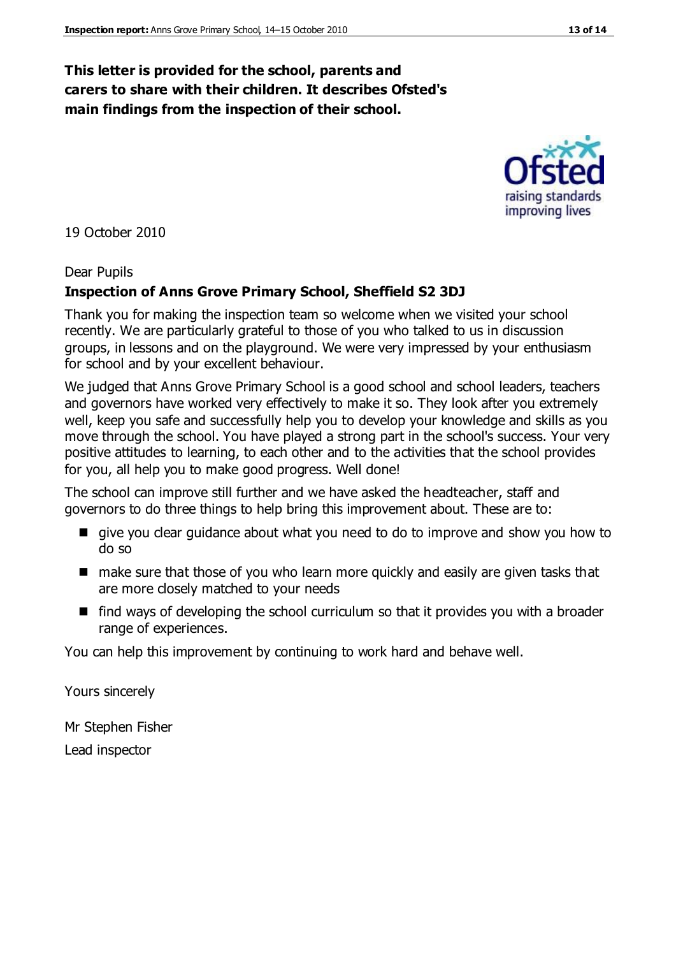#### **This letter is provided for the school, parents and carers to share with their children. It describes Ofsted's main findings from the inspection of their school.**

19 October 2010

#### Dear Pupils

#### **Inspection of Anns Grove Primary School, Sheffield S2 3DJ**

Thank you for making the inspection team so welcome when we visited your school recently. We are particularly grateful to those of you who talked to us in discussion groups, in lessons and on the playground. We were very impressed by your enthusiasm for school and by your excellent behaviour.

We judged that Anns Grove Primary School is a good school and school leaders, teachers and governors have worked very effectively to make it so. They look after you extremely well, keep you safe and successfully help you to develop your knowledge and skills as you move through the school. You have played a strong part in the school's success. Your very positive attitudes to learning, to each other and to the activities that the school provides for you, all help you to make good progress. Well done!

The school can improve still further and we have asked the headteacher, staff and governors to do three things to help bring this improvement about. These are to:

- give you clear guidance about what you need to do to improve and show you how to do so
- make sure that those of you who learn more quickly and easily are given tasks that are more closely matched to your needs
- $\blacksquare$  find ways of developing the school curriculum so that it provides you with a broader range of experiences.

You can help this improvement by continuing to work hard and behave well.

Yours sincerely

Mr Stephen Fisher Lead inspector